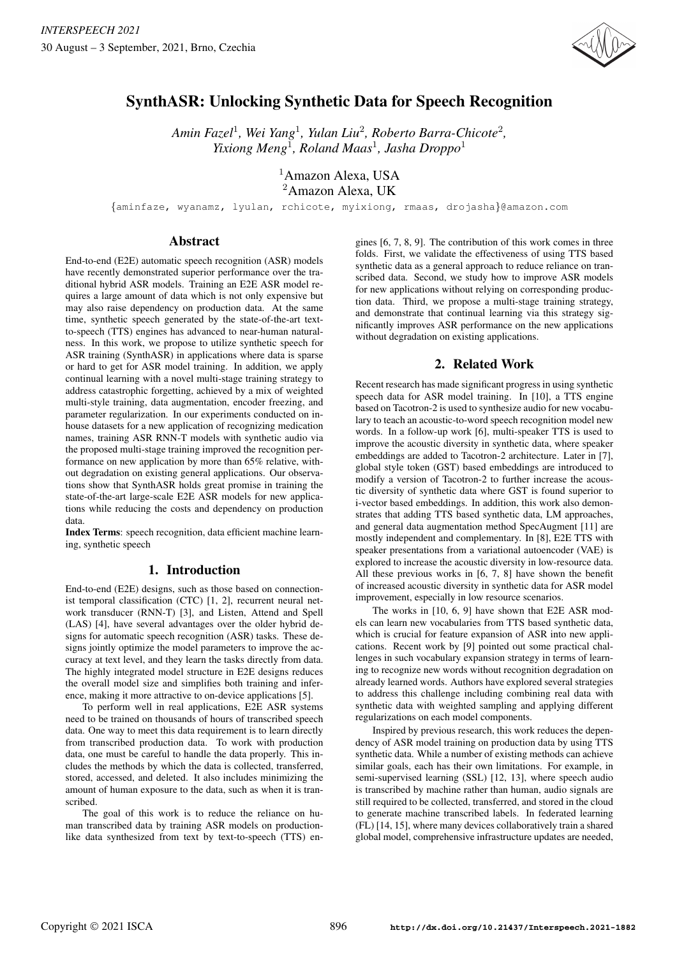

# SynthASR: Unlocking Synthetic Data for Speech Recognition

*Amin Fazel*<sup>1</sup> *, Wei Yang*<sup>1</sup> *, Yulan Liu*<sup>2</sup> *, Roberto Barra-Chicote*<sup>2</sup> *, Yixiong Meng*<sup>1</sup> *, Roland Maas*<sup>1</sup> *, Jasha Droppo*<sup>1</sup>

> <sup>1</sup>Amazon Alexa, USA <sup>2</sup>Amazon Alexa, UK

{aminfaze, wyanamz, lyulan, rchicote, myixiong, rmaas, drojasha}@amazon.com

## Abstract

End-to-end (E2E) automatic speech recognition (ASR) models have recently demonstrated superior performance over the traditional hybrid ASR models. Training an E2E ASR model requires a large amount of data which is not only expensive but may also raise dependency on production data. At the same time, synthetic speech generated by the state-of-the-art textto-speech (TTS) engines has advanced to near-human naturalness. In this work, we propose to utilize synthetic speech for ASR training (SynthASR) in applications where data is sparse or hard to get for ASR model training. In addition, we apply continual learning with a novel multi-stage training strategy to address catastrophic forgetting, achieved by a mix of weighted multi-style training, data augmentation, encoder freezing, and parameter regularization. In our experiments conducted on inhouse datasets for a new application of recognizing medication names, training ASR RNN-T models with synthetic audio via the proposed multi-stage training improved the recognition performance on new application by more than 65% relative, without degradation on existing general applications. Our observations show that SynthASR holds great promise in training the state-of-the-art large-scale E2E ASR models for new applications while reducing the costs and dependency on production data.

Index Terms: speech recognition, data efficient machine learning, synthetic speech

# 1. Introduction

End-to-end (E2E) designs, such as those based on connectionist temporal classification (CTC) [1, 2], recurrent neural network transducer (RNN-T) [3], and Listen, Attend and Spell (LAS) [4], have several advantages over the older hybrid designs for automatic speech recognition (ASR) tasks. These designs jointly optimize the model parameters to improve the accuracy at text level, and they learn the tasks directly from data. The highly integrated model structure in E2E designs reduces the overall model size and simplifies both training and inference, making it more attractive to on-device applications [5].

To perform well in real applications, E2E ASR systems need to be trained on thousands of hours of transcribed speech data. One way to meet this data requirement is to learn directly from transcribed production data. To work with production data, one must be careful to handle the data properly. This includes the methods by which the data is collected, transferred, stored, accessed, and deleted. It also includes minimizing the amount of human exposure to the data, such as when it is transcribed.

The goal of this work is to reduce the reliance on human transcribed data by training ASR models on productionlike data synthesized from text by text-to-speech (TTS) en-

gines [6, 7, 8, 9]. The contribution of this work comes in three folds. First, we validate the effectiveness of using TTS based synthetic data as a general approach to reduce reliance on transcribed data. Second, we study how to improve ASR models for new applications without relying on corresponding production data. Third, we propose a multi-stage training strategy, and demonstrate that continual learning via this strategy significantly improves ASR performance on the new applications without degradation on existing applications.

# 2. Related Work

Recent research has made significant progress in using synthetic speech data for ASR model training. In [10], a TTS engine based on Tacotron-2 is used to synthesize audio for new vocabulary to teach an acoustic-to-word speech recognition model new words. In a follow-up work [6], multi-speaker TTS is used to improve the acoustic diversity in synthetic data, where speaker embeddings are added to Tacotron-2 architecture. Later in [7], global style token (GST) based embeddings are introduced to modify a version of Tacotron-2 to further increase the acoustic diversity of synthetic data where GST is found superior to i-vector based embeddings. In addition, this work also demonstrates that adding TTS based synthetic data, LM approaches, and general data augmentation method SpecAugment [11] are mostly independent and complementary. In [8], E2E TTS with speaker presentations from a variational autoencoder (VAE) is explored to increase the acoustic diversity in low-resource data. All these previous works in [6, 7, 8] have shown the benefit of increased acoustic diversity in synthetic data for ASR model improvement, especially in low resource scenarios.

The works in [10, 6, 9] have shown that E2E ASR models can learn new vocabularies from TTS based synthetic data, which is crucial for feature expansion of ASR into new applications. Recent work by [9] pointed out some practical challenges in such vocabulary expansion strategy in terms of learning to recognize new words without recognition degradation on already learned words. Authors have explored several strategies to address this challenge including combining real data with synthetic data with weighted sampling and applying different regularizations on each model components.

Inspired by previous research, this work reduces the dependency of ASR model training on production data by using TTS synthetic data. While a number of existing methods can achieve similar goals, each has their own limitations. For example, in semi-supervised learning (SSL) [12, 13], where speech audio is transcribed by machine rather than human, audio signals are still required to be collected, transferred, and stored in the cloud to generate machine transcribed labels. In federated learning (FL) [14, 15], where many devices collaboratively train a shared global model, comprehensive infrastructure updates are needed,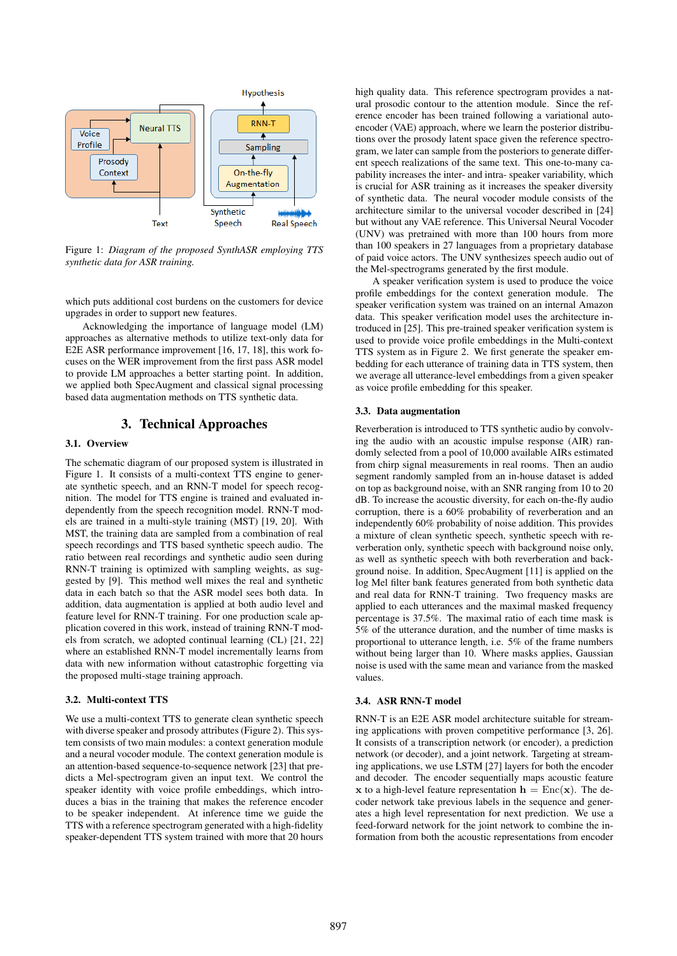

Figure 1: *Diagram of the proposed SynthASR employing TTS synthetic data for ASR training.*

which puts additional cost burdens on the customers for device upgrades in order to support new features.

Acknowledging the importance of language model (LM) approaches as alternative methods to utilize text-only data for E2E ASR performance improvement [16, 17, 18], this work focuses on the WER improvement from the first pass ASR model to provide LM approaches a better starting point. In addition, we applied both SpecAugment and classical signal processing based data augmentation methods on TTS synthetic data.

# 3. Technical Approaches

#### 3.1. Overview

The schematic diagram of our proposed system is illustrated in Figure 1. It consists of a multi-context TTS engine to generate synthetic speech, and an RNN-T model for speech recognition. The model for TTS engine is trained and evaluated independently from the speech recognition model. RNN-T models are trained in a multi-style training (MST) [19, 20]. With MST, the training data are sampled from a combination of real speech recordings and TTS based synthetic speech audio. The ratio between real recordings and synthetic audio seen during RNN-T training is optimized with sampling weights, as suggested by [9]. This method well mixes the real and synthetic data in each batch so that the ASR model sees both data. In addition, data augmentation is applied at both audio level and feature level for RNN-T training. For one production scale application covered in this work, instead of training RNN-T models from scratch, we adopted continual learning (CL) [21, 22] where an established RNN-T model incrementally learns from data with new information without catastrophic forgetting via the proposed multi-stage training approach.

## 3.2. Multi-context TTS

We use a multi-context TTS to generate clean synthetic speech with diverse speaker and prosody attributes (Figure 2). This system consists of two main modules: a context generation module and a neural vocoder module. The context generation module is an attention-based sequence-to-sequence network [23] that predicts a Mel-spectrogram given an input text. We control the speaker identity with voice profile embeddings, which introduces a bias in the training that makes the reference encoder to be speaker independent. At inference time we guide the TTS with a reference spectrogram generated with a high-fidelity speaker-dependent TTS system trained with more that 20 hours

high quality data. This reference spectrogram provides a natural prosodic contour to the attention module. Since the reference encoder has been trained following a variational autoencoder (VAE) approach, where we learn the posterior distributions over the prosody latent space given the reference spectrogram, we later can sample from the posteriors to generate different speech realizations of the same text. This one-to-many capability increases the inter- and intra- speaker variability, which is crucial for ASR training as it increases the speaker diversity of synthetic data. The neural vocoder module consists of the architecture similar to the universal vocoder described in [24] but without any VAE reference. This Universal Neural Vocoder (UNV) was pretrained with more than 100 hours from more than 100 speakers in 27 languages from a proprietary database of paid voice actors. The UNV synthesizes speech audio out of the Mel-spectrograms generated by the first module.

A speaker verification system is used to produce the voice profile embeddings for the context generation module. The speaker verification system was trained on an internal Amazon data. This speaker verification model uses the architecture introduced in [25]. This pre-trained speaker verification system is used to provide voice profile embeddings in the Multi-context TTS system as in Figure 2. We first generate the speaker embedding for each utterance of training data in TTS system, then we average all utterance-level embeddings from a given speaker as voice profile embedding for this speaker.

#### 3.3. Data augmentation

Reverberation is introduced to TTS synthetic audio by convolving the audio with an acoustic impulse response (AIR) randomly selected from a pool of 10,000 available AIRs estimated from chirp signal measurements in real rooms. Then an audio segment randomly sampled from an in-house dataset is added on top as background noise, with an SNR ranging from 10 to 20 dB. To increase the acoustic diversity, for each on-the-fly audio corruption, there is a 60% probability of reverberation and an independently 60% probability of noise addition. This provides a mixture of clean synthetic speech, synthetic speech with reverberation only, synthetic speech with background noise only, as well as synthetic speech with both reverberation and background noise. In addition, SpecAugment [11] is applied on the log Mel filter bank features generated from both synthetic data and real data for RNN-T training. Two frequency masks are applied to each utterances and the maximal masked frequency percentage is 37.5%. The maximal ratio of each time mask is 5% of the utterance duration, and the number of time masks is proportional to utterance length, i.e. 5% of the frame numbers without being larger than 10. Where masks applies, Gaussian noise is used with the same mean and variance from the masked values.

#### 3.4. ASR RNN-T model

RNN-T is an E2E ASR model architecture suitable for streaming applications with proven competitive performance [3, 26]. It consists of a transcription network (or encoder), a prediction network (or decoder), and a joint network. Targeting at streaming applications, we use LSTM [27] layers for both the encoder and decoder. The encoder sequentially maps acoustic feature x to a high-level feature representation  $h = \text{Enc}(\mathbf{x})$ . The decoder network take previous labels in the sequence and generates a high level representation for next prediction. We use a feed-forward network for the joint network to combine the information from both the acoustic representations from encoder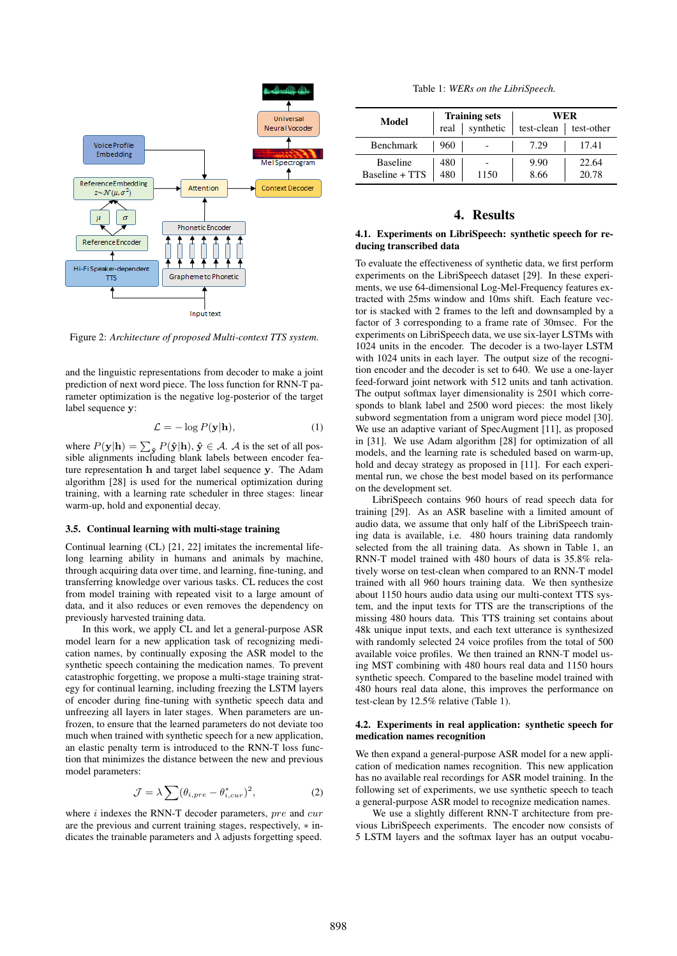

Figure 2: *Architecture of proposed Multi-context TTS system.*

and the linguistic representations from decoder to make a joint prediction of next word piece. The loss function for RNN-T parameter optimization is the negative log-posterior of the target label sequence v:

$$
\mathcal{L} = -\log P(\mathbf{y}|\mathbf{h}),\tag{1}
$$

where  $P(\mathbf{y}|\mathbf{h}) = \sum_{\mathbf{\hat{y}}} P(\mathbf{\hat{y}}|\mathbf{h}), \mathbf{\hat{y}} \in \mathcal{A}$ . A is the set of all possible alignments including blank labels between encoder feature representation h and target label sequence y. The Adam algorithm [28] is used for the numerical optimization during training, with a learning rate scheduler in three stages: linear warm-up, hold and exponential decay.

#### 3.5. Continual learning with multi-stage training

Continual learning (CL) [21, 22] imitates the incremental lifelong learning ability in humans and animals by machine, through acquiring data over time, and learning, fine-tuning, and transferring knowledge over various tasks. CL reduces the cost from model training with repeated visit to a large amount of data, and it also reduces or even removes the dependency on previously harvested training data.

In this work, we apply CL and let a general-purpose ASR model learn for a new application task of recognizing medication names, by continually exposing the ASR model to the synthetic speech containing the medication names. To prevent catastrophic forgetting, we propose a multi-stage training strategy for continual learning, including freezing the LSTM layers of encoder during fine-tuning with synthetic speech data and unfreezing all layers in later stages. When parameters are unfrozen, to ensure that the learned parameters do not deviate too much when trained with synthetic speech for a new application, an elastic penalty term is introduced to the RNN-T loss function that minimizes the distance between the new and previous model parameters:

$$
\mathcal{J} = \lambda \sum (\theta_{i,pre} - \theta_{i,cur}^*)^2, \tag{2}
$$

where  $i$  indexes the RNN-T decoder parameters,  $pre$  and  $cur$ are the previous and current training stages, respectively, ∗ indicates the trainable parameters and  $\lambda$  adjusts forgetting speed.

Table 1: *WERs on the LibriSpeech.*

| Model                             |            | <b>Training sets</b> | WER          |                            |  |
|-----------------------------------|------------|----------------------|--------------|----------------------------|--|
|                                   | real       | synthetic            |              | $test$ -clean   test-other |  |
| Benchmark                         | 960        |                      | 7.29         | 17.41                      |  |
| <b>Baseline</b><br>Baseline + TTS | 480<br>480 | 1150                 | 9.90<br>8.66 | 22.64<br>20.78             |  |

# 4. Results

#### 4.1. Experiments on LibriSpeech: synthetic speech for reducing transcribed data

To evaluate the effectiveness of synthetic data, we first perform experiments on the LibriSpeech dataset [29]. In these experiments, we use 64-dimensional Log-Mel-Frequency features extracted with 25ms window and 10ms shift. Each feature vector is stacked with 2 frames to the left and downsampled by a factor of 3 corresponding to a frame rate of 30msec. For the experiments on LibriSpeech data, we use six-layer LSTMs with 1024 units in the encoder. The decoder is a two-layer LSTM with 1024 units in each layer. The output size of the recognition encoder and the decoder is set to 640. We use a one-layer feed-forward joint network with 512 units and tanh activation. The output softmax layer dimensionality is 2501 which corresponds to blank label and 2500 word pieces: the most likely subword segmentation from a unigram word piece model [30]. We use an adaptive variant of SpecAugment [11], as proposed in [31]. We use Adam algorithm [28] for optimization of all models, and the learning rate is scheduled based on warm-up, hold and decay strategy as proposed in [11]. For each experimental run, we chose the best model based on its performance on the development set.

LibriSpeech contains 960 hours of read speech data for training [29]. As an ASR baseline with a limited amount of audio data, we assume that only half of the LibriSpeech training data is available, i.e. 480 hours training data randomly selected from the all training data. As shown in Table 1, an RNN-T model trained with 480 hours of data is 35.8% relatively worse on test-clean when compared to an RNN-T model trained with all 960 hours training data. We then synthesize about 1150 hours audio data using our multi-context TTS system, and the input texts for TTS are the transcriptions of the missing 480 hours data. This TTS training set contains about 48k unique input texts, and each text utterance is synthesized with randomly selected 24 voice profiles from the total of 500 available voice profiles. We then trained an RNN-T model using MST combining with 480 hours real data and 1150 hours synthetic speech. Compared to the baseline model trained with 480 hours real data alone, this improves the performance on test-clean by 12.5% relative (Table 1).

# 4.2. Experiments in real application: synthetic speech for medication names recognition

We then expand a general-purpose ASR model for a new application of medication names recognition. This new application has no available real recordings for ASR model training. In the following set of experiments, we use synthetic speech to teach a general-purpose ASR model to recognize medication names.

We use a slightly different RNN-T architecture from previous LibriSpeech experiments. The encoder now consists of 5 LSTM layers and the softmax layer has an output vocabu-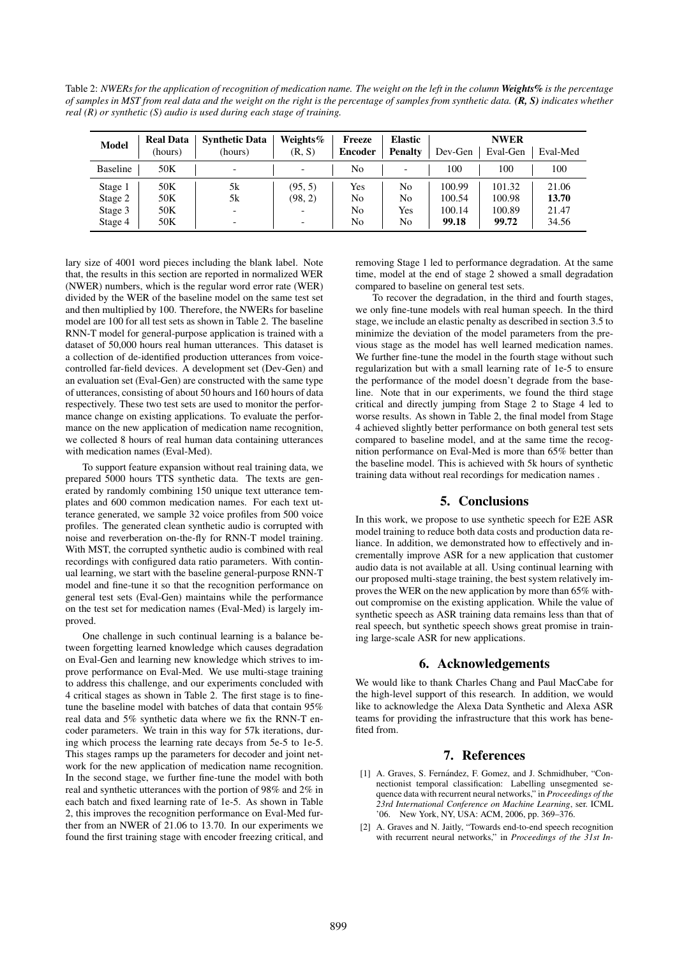Table 2: *NWERs for the application of recognition of medication name. The weight on the left in the column Weights% is the percentage of samples in MST from real data and the weight on the right is the percentage of samples from synthetic data. (R, S) indicates whether real (R) or synthetic (S) audio is used during each stage of training.*

| <b>Model</b>    | <b>Real Data</b><br>(hours) | <b>Synthetic Data</b><br>(hours) | Weights%<br>(R, S) | Freeze<br><b>Encoder</b> | <b>Elastic</b><br><b>Penalty</b> | Dev-Gen | <b>NWER</b><br>Eval-Gen | Eval-Med |
|-----------------|-----------------------------|----------------------------------|--------------------|--------------------------|----------------------------------|---------|-------------------------|----------|
| <b>Baseline</b> | 50K                         | $\overline{\phantom{0}}$         |                    | No                       | $\overline{\phantom{0}}$         | 100     | 100                     | 100      |
| Stage 1         | 50K                         | 5k                               | (95, 5)            | Yes                      | No                               | 100.99  | 101.32                  | 21.06    |
| Stage 2         | 50K                         | 5k                               | (98, 2)            | No                       | No                               | 100.54  | 100.98                  | 13.70    |
| Stage 3         | 50K                         |                                  |                    | No                       | Yes                              | 100.14  | 100.89                  | 21.47    |
| Stage 4         | 50K                         |                                  |                    | No                       | No                               | 99.18   | 99.72                   | 34.56    |

lary size of 4001 word pieces including the blank label. Note that, the results in this section are reported in normalized WER (NWER) numbers, which is the regular word error rate (WER) divided by the WER of the baseline model on the same test set and then multiplied by 100. Therefore, the NWERs for baseline model are 100 for all test sets as shown in Table 2. The baseline RNN-T model for general-purpose application is trained with a dataset of 50,000 hours real human utterances. This dataset is a collection of de-identified production utterances from voicecontrolled far-field devices. A development set (Dev-Gen) and an evaluation set (Eval-Gen) are constructed with the same type of utterances, consisting of about 50 hours and 160 hours of data respectively. These two test sets are used to monitor the performance change on existing applications. To evaluate the performance on the new application of medication name recognition, we collected 8 hours of real human data containing utterances with medication names (Eval-Med).

To support feature expansion without real training data, we prepared 5000 hours TTS synthetic data. The texts are generated by randomly combining 150 unique text utterance templates and 600 common medication names. For each text utterance generated, we sample 32 voice profiles from 500 voice profiles. The generated clean synthetic audio is corrupted with noise and reverberation on-the-fly for RNN-T model training. With MST, the corrupted synthetic audio is combined with real recordings with configured data ratio parameters. With continual learning, we start with the baseline general-purpose RNN-T model and fine-tune it so that the recognition performance on general test sets (Eval-Gen) maintains while the performance on the test set for medication names (Eval-Med) is largely improved.

One challenge in such continual learning is a balance between forgetting learned knowledge which causes degradation on Eval-Gen and learning new knowledge which strives to improve performance on Eval-Med. We use multi-stage training to address this challenge, and our experiments concluded with 4 critical stages as shown in Table 2. The first stage is to finetune the baseline model with batches of data that contain 95% real data and 5% synthetic data where we fix the RNN-T encoder parameters. We train in this way for 57k iterations, during which process the learning rate decays from 5e-5 to 1e-5. This stages ramps up the parameters for decoder and joint network for the new application of medication name recognition. In the second stage, we further fine-tune the model with both real and synthetic utterances with the portion of 98% and 2% in each batch and fixed learning rate of 1e-5. As shown in Table 2, this improves the recognition performance on Eval-Med further from an NWER of 21.06 to 13.70. In our experiments we found the first training stage with encoder freezing critical, and removing Stage 1 led to performance degradation. At the same time, model at the end of stage 2 showed a small degradation compared to baseline on general test sets.

To recover the degradation, in the third and fourth stages, we only fine-tune models with real human speech. In the third stage, we include an elastic penalty as described in section 3.5 to minimize the deviation of the model parameters from the previous stage as the model has well learned medication names. We further fine-tune the model in the fourth stage without such regularization but with a small learning rate of 1e-5 to ensure the performance of the model doesn't degrade from the baseline. Note that in our experiments, we found the third stage critical and directly jumping from Stage 2 to Stage 4 led to worse results. As shown in Table 2, the final model from Stage 4 achieved slightly better performance on both general test sets compared to baseline model, and at the same time the recognition performance on Eval-Med is more than 65% better than the baseline model. This is achieved with 5k hours of synthetic training data without real recordings for medication names .

# 5. Conclusions

In this work, we propose to use synthetic speech for E2E ASR model training to reduce both data costs and production data reliance. In addition, we demonstrated how to effectively and incrementally improve ASR for a new application that customer audio data is not available at all. Using continual learning with our proposed multi-stage training, the best system relatively improves the WER on the new application by more than 65% without compromise on the existing application. While the value of synthetic speech as ASR training data remains less than that of real speech, but synthetic speech shows great promise in training large-scale ASR for new applications.

# 6. Acknowledgements

We would like to thank Charles Chang and Paul MacCabe for the high-level support of this research. In addition, we would like to acknowledge the Alexa Data Synthetic and Alexa ASR teams for providing the infrastructure that this work has benefited from.

# 7. References

- [1] A. Graves, S. Fernández, F. Gomez, and J. Schmidhuber, "Connectionist temporal classification: Labelling unsegmented sequence data with recurrent neural networks," in *Proceedings of the 23rd International Conference on Machine Learning*, ser. ICML '06. New York, NY, USA: ACM, 2006, pp. 369–376.
- [2] A. Graves and N. Jaitly, "Towards end-to-end speech recognition with recurrent neural networks," in *Proceedings of the 31st In-*